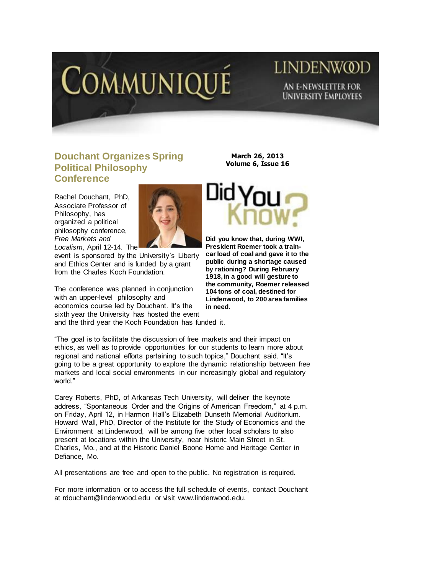

## **LINDENWOD** AN E-NEWSLETTER FOR **UNIVERSITY EMPLOYEES**

## **Douchant Organizes Spring Political Philosophy Conference**

Rachel Douchant, PhD, Associate Professor of Philosophy, has organized a political philosophy conference, *Free Markets and Localism*, April 12-14. The



event is sponsored by the University's Liberty and Ethics Center and is funded by a grant from the Charles Koch Foundation.

The conference was planned in conjunction with an upper-level philosophy and economics course led by Douchant. It's the sixth year the University has hosted the event and the third year the Koch Foundation has funded it.

**March 26, 2013 Volume 6, Issue 16**



**Did you know that, during WWI, President Roemer took a traincar load of coal and gave it to the public during a shortage caused by rationing? During February 1918, in a good will gesture to the community, Roemer released 104 tons of coal, destined for Lindenwood, to 200 area families in need.** 

"The goal is to facilitate the discussion of free markets and their impact on ethics, as well as to provide opportunities for our students to learn more about regional and national efforts pertaining to such topics," Douchant said. "It's going to be a great opportunity to explore the dynamic relationship between free markets and local social environments in our increasingly global and regulatory world."

Carey Roberts, PhD, of Arkansas Tech University, will deliver the keynote address, "Spontaneous Order and the Origins of American Freedom," at 4 p.m. on Friday, April 12, in Harmon Hall's Elizabeth Dunseth Memorial Auditorium. Howard Wall, PhD, Director of the [Institute for the Study of Economics and the](http://www.lindenwood.edu/business/isee/)  [Environment](http://www.lindenwood.edu/business/isee/) at Lindenwood, will be among five other local scholars to also present at locations within the University, near historic Main Street in St. Charles, Mo., and at the Historic Daniel Boone Home and Heritage Center in Defiance, Mo.

All presentations are free and open to the public. No registration is required.

For more information or to access the full schedule of events, contact Douchant at [rdouchant@lindenwood.edu](mailto:rdouchant@lindenwood.edu) or visit [www.lindenwood.edu.](http://www.lindenwood.edu/)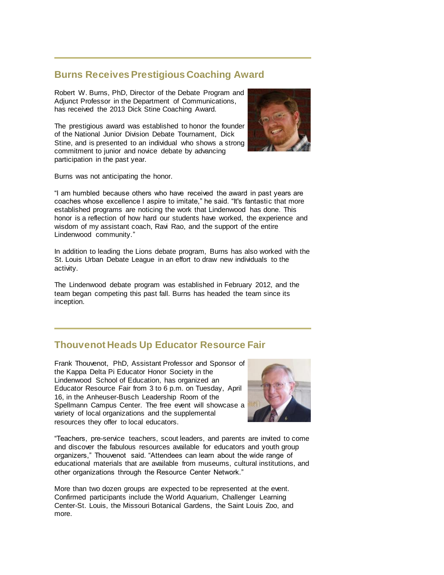## **Burns Receives Prestigious Coaching Award**

Robert W. Burns, PhD, Director of the Debate Program and Adjunct Professor in the Department of Communications, has received the 2013 Dick Stine Coaching Award.

The prestigious award was established to honor the founder of the National Junior Division Debate Tournament, Dick Stine, and is presented to an individual who shows a strong commitment to junior and novice debate by advancing participation in the past year.



Burns was not anticipating the honor.

"I am humbled because others who have received the award in past years are coaches whose excellence I aspire to imitate," he said. "It's fantastic that more established programs are noticing the work that Lindenwood has done. This honor is a reflection of how hard our students have worked, the experience and wisdom of my assistant coach, Ravi Rao, and the support of the entire Lindenwood community."

In addition to leading the Lions debate program, Burns has also worked with the St. Louis Urban Debate League in an effort to draw new individuals to the activity.

The Lindenwood debate program was established in February 2012, and the team began competing this past fall. Burns has headed the team since its inception.

## **Thouvenot Heads Up Educator Resource Fair**

Frank Thouvenot, PhD, Assistant Professor and Sponsor of the Kappa Delta Pi Educator Honor Society in the Lindenwood School of Education, has organized an Educator Resource Fair from 3 to 6 p.m. on Tuesday, April 16, in the Anheuser-Busch Leadership Room of the Spellmann Campus Center. The free event will showcase a variety of local organizations and the supplemental resources they offer to local educators.



"Teachers, pre-service teachers, scout leaders, and parents are invited to come and discover the fabulous resources available for educators and youth group organizers," Thouvenot said. "Attendees can learn about the wide range of educational materials that are available from museums, cultural institutions, and other organizations through the Resource Center Network."

More than two dozen groups are expected to be represented at the event. Confirmed participants include the World Aquarium, Challenger Learning Center-St. Louis, the Missouri Botanical Gardens, the Saint Louis Zoo, and more.